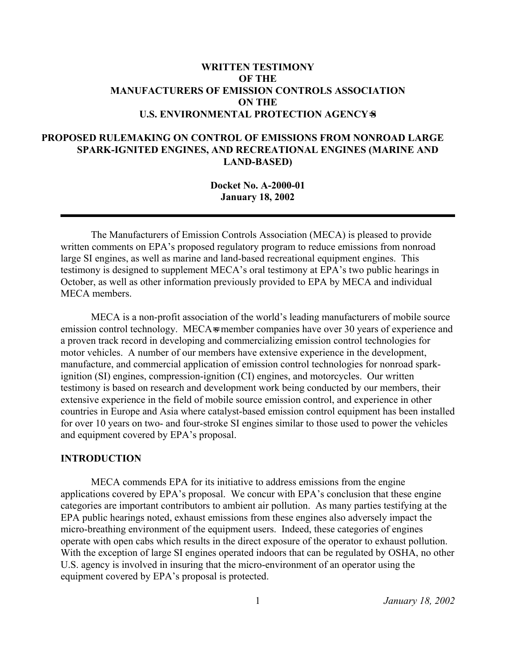## **WRITTEN TESTIMONY OF THE MANUFACTURERS OF EMISSION CONTROLS ASSOCIATION ON THE U.S. ENVIRONMENTAL PROTECTION AGENCY**=**S**

## **PROPOSED RULEMAKING ON CONTROL OF EMISSIONS FROM NONROAD LARGE SPARK-IGNITED ENGINES, AND RECREATIONAL ENGINES (MARINE AND LAND-BASED)**

**Docket No. A-2000-01 January 18, 2002** 

The Manufacturers of Emission Controls Association (MECA) is pleased to provide written comments on EPA's proposed regulatory program to reduce emissions from nonroad large SI engines, as well as marine and land-based recreational equipment engines. This testimony is designed to supplement MECA's oral testimony at EPA's two public hearings in October, as well as other information previously provided to EPA by MECA and individual MECA members.

MECA is a non-profit association of the world's leading manufacturers of mobile source emission control technology. MECA s member companies have over 30 years of experience and a proven track record in developing and commercializing emission control technologies for motor vehicles. A number of our members have extensive experience in the development, manufacture, and commercial application of emission control technologies for nonroad sparkignition (SI) engines, compression-ignition (CI) engines, and motorcycles. Our written testimony is based on research and development work being conducted by our members, their extensive experience in the field of mobile source emission control, and experience in other countries in Europe and Asia where catalyst-based emission control equipment has been installed for over 10 years on two- and four-stroke SI engines similar to those used to power the vehicles and equipment covered by EPA's proposal.

## **INTRODUCTION**

MECA commends EPA for its initiative to address emissions from the engine applications covered by EPA's proposal. We concur with EPA's conclusion that these engine categories are important contributors to ambient air pollution. As many parties testifying at the EPA public hearings noted, exhaust emissions from these engines also adversely impact the micro-breathing environment of the equipment users. Indeed, these categories of engines operate with open cabs which results in the direct exposure of the operator to exhaust pollution. With the exception of large SI engines operated indoors that can be regulated by OSHA, no other U.S. agency is involved in insuring that the micro-environment of an operator using the equipment covered by EPA's proposal is protected.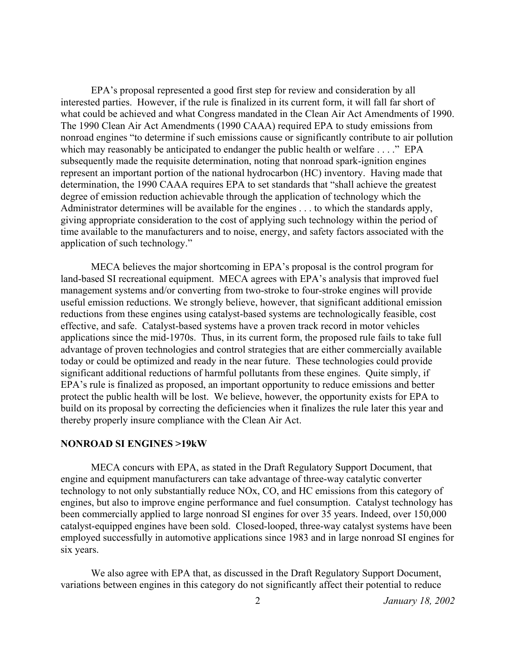EPA's proposal represented a good first step for review and consideration by all interested parties. However, if the rule is finalized in its current form, it will fall far short of what could be achieved and what Congress mandated in the Clean Air Act Amendments of 1990. The 1990 Clean Air Act Amendments (1990 CAAA) required EPA to study emissions from nonroad engines "to determine if such emissions cause or significantly contribute to air pollution which may reasonably be anticipated to endanger the public health or welfare . . . ." EPA subsequently made the requisite determination, noting that nonroad spark-ignition engines represent an important portion of the national hydrocarbon (HC) inventory. Having made that determination, the 1990 CAAA requires EPA to set standards that "shall achieve the greatest degree of emission reduction achievable through the application of technology which the Administrator determines will be available for the engines . . . to which the standards apply, giving appropriate consideration to the cost of applying such technology within the period of time available to the manufacturers and to noise, energy, and safety factors associated with the application of such technology."

MECA believes the major shortcoming in EPA's proposal is the control program for land-based SI recreational equipment. MECA agrees with EPA's analysis that improved fuel management systems and/or converting from two-stroke to four-stroke engines will provide useful emission reductions. We strongly believe, however, that significant additional emission reductions from these engines using catalyst-based systems are technologically feasible, cost effective, and safe. Catalyst-based systems have a proven track record in motor vehicles applications since the mid-1970s. Thus, in its current form, the proposed rule fails to take full advantage of proven technologies and control strategies that are either commercially available today or could be optimized and ready in the near future. These technologies could provide significant additional reductions of harmful pollutants from these engines. Quite simply, if EPA's rule is finalized as proposed, an important opportunity to reduce emissions and better protect the public health will be lost. We believe, however, the opportunity exists for EPA to build on its proposal by correcting the deficiencies when it finalizes the rule later this year and thereby properly insure compliance with the Clean Air Act.

#### **NONROAD SI ENGINES >19kW**

MECA concurs with EPA, as stated in the Draft Regulatory Support Document, that engine and equipment manufacturers can take advantage of three-way catalytic converter technology to not only substantially reduce NOx, CO, and HC emissions from this category of engines, but also to improve engine performance and fuel consumption. Catalyst technology has been commercially applied to large nonroad SI engines for over 35 years. Indeed, over 150,000 catalyst-equipped engines have been sold. Closed-looped, three-way catalyst systems have been employed successfully in automotive applications since 1983 and in large nonroad SI engines for six years.

We also agree with EPA that, as discussed in the Draft Regulatory Support Document, variations between engines in this category do not significantly affect their potential to reduce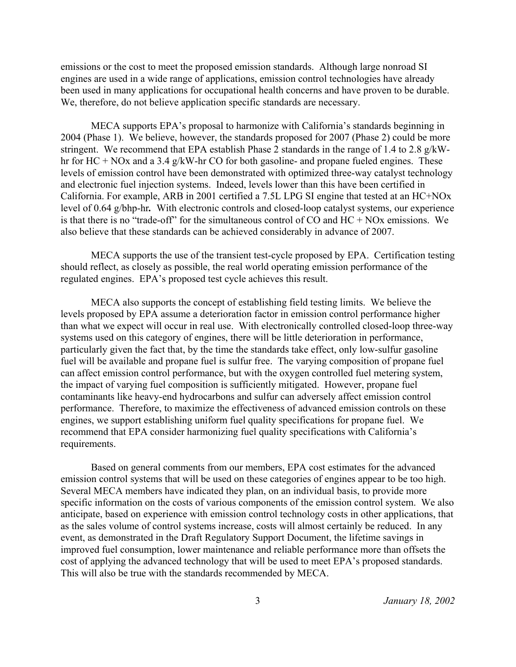emissions or the cost to meet the proposed emission standards. Although large nonroad SI engines are used in a wide range of applications, emission control technologies have already been used in many applications for occupational health concerns and have proven to be durable. We, therefore, do not believe application specific standards are necessary.

MECA supports EPA's proposal to harmonize with California's standards beginning in 2004 (Phase 1). We believe, however, the standards proposed for 2007 (Phase 2) could be more stringent. We recommend that EPA establish Phase 2 standards in the range of 1.4 to 2.8 g/kWhr for HC + NOx and a 3.4 g/kW-hr CO for both gasoline- and propane fueled engines. These levels of emission control have been demonstrated with optimized three-way catalyst technology and electronic fuel injection systems. Indeed, levels lower than this have been certified in California. For example, ARB in 2001 certified a 7.5L LPG SI engine that tested at an HC+NOx level of 0.64 g/bhp-hr*.* With electronic controls and closed-loop catalyst systems, our experience is that there is no "trade-off" for the simultaneous control of  $CO$  and  $HC + NOx$  emissions. We also believe that these standards can be achieved considerably in advance of 2007.

MECA supports the use of the transient test-cycle proposed by EPA. Certification testing should reflect, as closely as possible, the real world operating emission performance of the regulated engines. EPA's proposed test cycle achieves this result.

MECA also supports the concept of establishing field testing limits. We believe the levels proposed by EPA assume a deterioration factor in emission control performance higher than what we expect will occur in real use. With electronically controlled closed-loop three-way systems used on this category of engines, there will be little deterioration in performance, particularly given the fact that, by the time the standards take effect, only low-sulfur gasoline fuel will be available and propane fuel is sulfur free. The varying composition of propane fuel can affect emission control performance, but with the oxygen controlled fuel metering system, the impact of varying fuel composition is sufficiently mitigated. However, propane fuel contaminants like heavy-end hydrocarbons and sulfur can adversely affect emission control performance. Therefore, to maximize the effectiveness of advanced emission controls on these engines, we support establishing uniform fuel quality specifications for propane fuel. We recommend that EPA consider harmonizing fuel quality specifications with California's requirements.

Based on general comments from our members, EPA cost estimates for the advanced emission control systems that will be used on these categories of engines appear to be too high. Several MECA members have indicated they plan, on an individual basis, to provide more specific information on the costs of various components of the emission control system. We also anticipate, based on experience with emission control technology costs in other applications, that as the sales volume of control systems increase, costs will almost certainly be reduced. In any event, as demonstrated in the Draft Regulatory Support Document, the lifetime savings in improved fuel consumption, lower maintenance and reliable performance more than offsets the cost of applying the advanced technology that will be used to meet EPA's proposed standards. This will also be true with the standards recommended by MECA.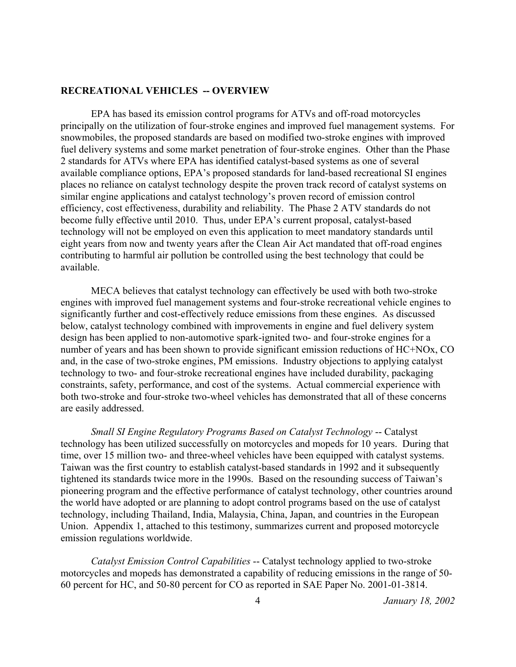#### **RECREATIONAL VEHICLES -- OVERVIEW**

EPA has based its emission control programs for ATVs and off-road motorcycles principally on the utilization of four-stroke engines and improved fuel management systems. For snowmobiles, the proposed standards are based on modified two-stroke engines with improved fuel delivery systems and some market penetration of four-stroke engines. Other than the Phase 2 standards for ATVs where EPA has identified catalyst-based systems as one of several available compliance options, EPA's proposed standards for land-based recreational SI engines places no reliance on catalyst technology despite the proven track record of catalyst systems on similar engine applications and catalyst technology's proven record of emission control efficiency, cost effectiveness, durability and reliability. The Phase 2 ATV standards do not become fully effective until 2010. Thus, under EPA's current proposal, catalyst-based technology will not be employed on even this application to meet mandatory standards until eight years from now and twenty years after the Clean Air Act mandated that off-road engines contributing to harmful air pollution be controlled using the best technology that could be available.

MECA believes that catalyst technology can effectively be used with both two-stroke engines with improved fuel management systems and four-stroke recreational vehicle engines to significantly further and cost-effectively reduce emissions from these engines. As discussed below, catalyst technology combined with improvements in engine and fuel delivery system design has been applied to non-automotive spark-ignited two- and four-stroke engines for a number of years and has been shown to provide significant emission reductions of HC+NOx, CO and, in the case of two-stroke engines, PM emissions. Industry objections to applying catalyst technology to two- and four-stroke recreational engines have included durability, packaging constraints, safety, performance, and cost of the systems. Actual commercial experience with both two-stroke and four-stroke two-wheel vehicles has demonstrated that all of these concerns are easily addressed.

*Small SI Engine Regulatory Programs Based on Catalyst Technology* -- Catalyst technology has been utilized successfully on motorcycles and mopeds for 10 years. During that time, over 15 million two- and three-wheel vehicles have been equipped with catalyst systems. Taiwan was the first country to establish catalyst-based standards in 1992 and it subsequently tightened its standards twice more in the 1990s. Based on the resounding success of Taiwan's pioneering program and the effective performance of catalyst technology, other countries around the world have adopted or are planning to adopt control programs based on the use of catalyst technology, including Thailand, India, Malaysia, China, Japan, and countries in the European Union. Appendix 1, attached to this testimony, summarizes current and proposed motorcycle emission regulations worldwide.

*Catalyst Emission Control Capabilities* -- Catalyst technology applied to two-stroke motorcycles and mopeds has demonstrated a capability of reducing emissions in the range of 50- 60 percent for HC, and 50-80 percent for CO as reported in SAE Paper No. 2001-01-3814.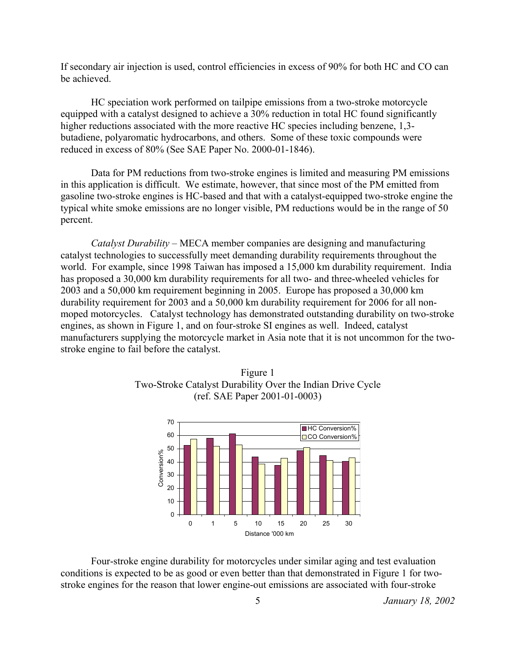If secondary air injection is used, control efficiencies in excess of 90% for both HC and CO can be achieved.

HC speciation work performed on tailpipe emissions from a two-stroke motorcycle equipped with a catalyst designed to achieve a 30% reduction in total HC found significantly higher reductions associated with the more reactive HC species including benzene, 1,3butadiene, polyaromatic hydrocarbons, and others. Some of these toxic compounds were reduced in excess of 80% (See SAE Paper No. 2000-01-1846).

Data for PM reductions from two-stroke engines is limited and measuring PM emissions in this application is difficult. We estimate, however, that since most of the PM emitted from gasoline two-stroke engines is HC-based and that with a catalyst-equipped two-stroke engine the typical white smoke emissions are no longer visible, PM reductions would be in the range of 50 percent.

*Catalyst Durability* – MECA member companies are designing and manufacturing catalyst technologies to successfully meet demanding durability requirements throughout the world. For example, since 1998 Taiwan has imposed a 15,000 km durability requirement. India has proposed a 30,000 km durability requirements for all two- and three-wheeled vehicles for 2003 and a 50,000 km requirement beginning in 2005. Europe has proposed a 30,000 km durability requirement for 2003 and a 50,000 km durability requirement for 2006 for all nonmoped motorcycles. Catalyst technology has demonstrated outstanding durability on two-stroke engines, as shown in Figure 1, and on four-stroke SI engines as well. Indeed, catalyst manufacturers supplying the motorcycle market in Asia note that it is not uncommon for the twostroke engine to fail before the catalyst.





Four-stroke engine durability for motorcycles under similar aging and test evaluation conditions is expected to be as good or even better than that demonstrated in Figure 1 for twostroke engines for the reason that lower engine-out emissions are associated with four-stroke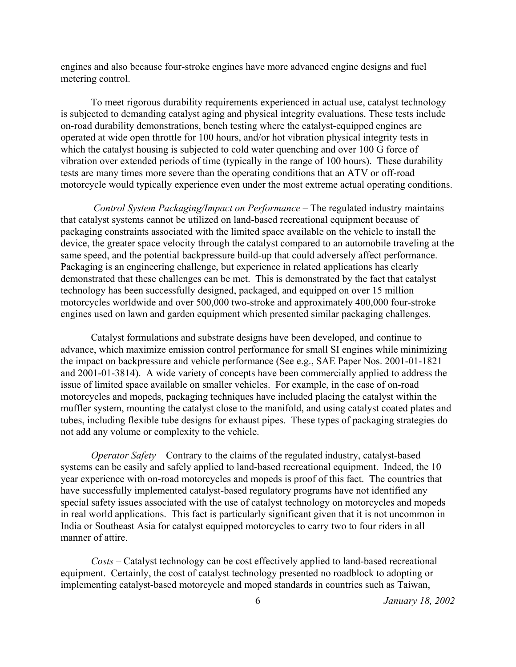engines and also because four-stroke engines have more advanced engine designs and fuel metering control.

To meet rigorous durability requirements experienced in actual use, catalyst technology is subjected to demanding catalyst aging and physical integrity evaluations. These tests include on-road durability demonstrations, bench testing where the catalyst-equipped engines are operated at wide open throttle for 100 hours, and/or hot vibration physical integrity tests in which the catalyst housing is subjected to cold water quenching and over 100 G force of vibration over extended periods of time (typically in the range of 100 hours). These durability tests are many times more severe than the operating conditions that an ATV or off-road motorcycle would typically experience even under the most extreme actual operating conditions.

*Control System Packaging/Impact on Performance* – The regulated industry maintains that catalyst systems cannot be utilized on land-based recreational equipment because of packaging constraints associated with the limited space available on the vehicle to install the device, the greater space velocity through the catalyst compared to an automobile traveling at the same speed, and the potential backpressure build-up that could adversely affect performance. Packaging is an engineering challenge, but experience in related applications has clearly demonstrated that these challenges can be met. This is demonstrated by the fact that catalyst technology has been successfully designed, packaged, and equipped on over 15 million motorcycles worldwide and over 500,000 two-stroke and approximately 400,000 four-stroke engines used on lawn and garden equipment which presented similar packaging challenges.

Catalyst formulations and substrate designs have been developed, and continue to advance, which maximize emission control performance for small SI engines while minimizing the impact on backpressure and vehicle performance (See e.g., SAE Paper Nos. 2001-01-1821 and 2001-01-3814). A wide variety of concepts have been commercially applied to address the issue of limited space available on smaller vehicles. For example, in the case of on-road motorcycles and mopeds, packaging techniques have included placing the catalyst within the muffler system, mounting the catalyst close to the manifold, and using catalyst coated plates and tubes, including flexible tube designs for exhaust pipes. These types of packaging strategies do not add any volume or complexity to the vehicle.

*Operator Safety* – Contrary to the claims of the regulated industry, catalyst-based systems can be easily and safely applied to land-based recreational equipment. Indeed, the 10 year experience with on-road motorcycles and mopeds is proof of this fact. The countries that have successfully implemented catalyst-based regulatory programs have not identified any special safety issues associated with the use of catalyst technology on motorcycles and mopeds in real world applications. This fact is particularly significant given that it is not uncommon in India or Southeast Asia for catalyst equipped motorcycles to carry two to four riders in all manner of attire.

*Costs* – Catalyst technology can be cost effectively applied to land-based recreational equipment. Certainly, the cost of catalyst technology presented no roadblock to adopting or implementing catalyst-based motorcycle and moped standards in countries such as Taiwan,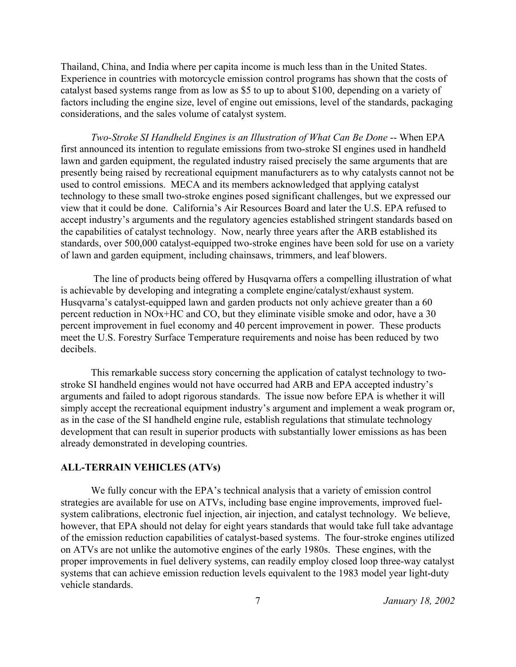Thailand, China, and India where per capita income is much less than in the United States. Experience in countries with motorcycle emission control programs has shown that the costs of catalyst based systems range from as low as \$5 to up to about \$100, depending on a variety of factors including the engine size, level of engine out emissions, level of the standards, packaging considerations, and the sales volume of catalyst system.

*Two-Stroke SI Handheld Engines is an Illustration of What Can Be Done* -- When EPA first announced its intention to regulate emissions from two-stroke SI engines used in handheld lawn and garden equipment, the regulated industry raised precisely the same arguments that are presently being raised by recreational equipment manufacturers as to why catalysts cannot not be used to control emissions. MECA and its members acknowledged that applying catalyst technology to these small two-stroke engines posed significant challenges, but we expressed our view that it could be done. California's Air Resources Board and later the U.S. EPA refused to accept industry's arguments and the regulatory agencies established stringent standards based on the capabilities of catalyst technology. Now, nearly three years after the ARB established its standards, over 500,000 catalyst-equipped two-stroke engines have been sold for use on a variety of lawn and garden equipment, including chainsaws, trimmers, and leaf blowers.

The line of products being offered by Husqvarna offers a compelling illustration of what is achievable by developing and integrating a complete engine/catalyst/exhaust system. Husqvarna's catalyst-equipped lawn and garden products not only achieve greater than a 60 percent reduction in NOx+HC and CO, but they eliminate visible smoke and odor, have a 30 percent improvement in fuel economy and 40 percent improvement in power. These products meet the U.S. Forestry Surface Temperature requirements and noise has been reduced by two decibels.

This remarkable success story concerning the application of catalyst technology to twostroke SI handheld engines would not have occurred had ARB and EPA accepted industry's arguments and failed to adopt rigorous standards. The issue now before EPA is whether it will simply accept the recreational equipment industry's argument and implement a weak program or, as in the case of the SI handheld engine rule, establish regulations that stimulate technology development that can result in superior products with substantially lower emissions as has been already demonstrated in developing countries.

### **ALL-TERRAIN VEHICLES (ATVs)**

We fully concur with the EPA's technical analysis that a variety of emission control strategies are available for use on ATVs, including base engine improvements, improved fuelsystem calibrations, electronic fuel injection, air injection, and catalyst technology. We believe, however, that EPA should not delay for eight years standards that would take full take advantage of the emission reduction capabilities of catalyst-based systems. The four-stroke engines utilized on ATVs are not unlike the automotive engines of the early 1980s. These engines, with the proper improvements in fuel delivery systems, can readily employ closed loop three-way catalyst systems that can achieve emission reduction levels equivalent to the 1983 model year light-duty vehicle standards.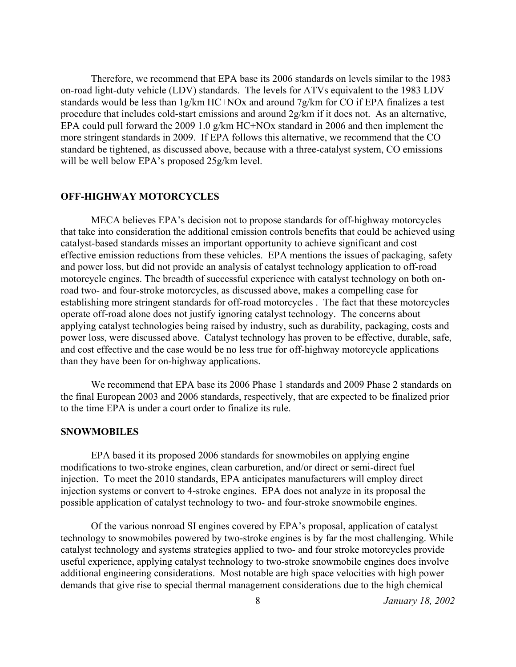Therefore, we recommend that EPA base its 2006 standards on levels similar to the 1983 on-road light-duty vehicle (LDV) standards. The levels for ATVs equivalent to the 1983 LDV standards would be less than 1g/km HC+NOx and around 7g/km for CO if EPA finalizes a test procedure that includes cold-start emissions and around 2g/km if it does not. As an alternative, EPA could pull forward the 2009 1.0 g/km HC+NOx standard in 2006 and then implement the more stringent standards in 2009. If EPA follows this alternative, we recommend that the CO standard be tightened, as discussed above, because with a three-catalyst system, CO emissions will be well below EPA's proposed 25g/km level.

### **OFF-HIGHWAY MOTORCYCLES**

MECA believes EPA's decision not to propose standards for off-highway motorcycles that take into consideration the additional emission controls benefits that could be achieved using catalyst-based standards misses an important opportunity to achieve significant and cost effective emission reductions from these vehicles. EPA mentions the issues of packaging, safety and power loss, but did not provide an analysis of catalyst technology application to off-road motorcycle engines. The breadth of successful experience with catalyst technology on both onroad two- and four-stroke motorcycles, as discussed above, makes a compelling case for establishing more stringent standards for off-road motorcycles . The fact that these motorcycles operate off-road alone does not justify ignoring catalyst technology. The concerns about applying catalyst technologies being raised by industry, such as durability, packaging, costs and power loss, were discussed above. Catalyst technology has proven to be effective, durable, safe, and cost effective and the case would be no less true for off-highway motorcycle applications than they have been for on-highway applications.

We recommend that EPA base its 2006 Phase 1 standards and 2009 Phase 2 standards on the final European 2003 and 2006 standards, respectively, that are expected to be finalized prior to the time EPA is under a court order to finalize its rule.

#### **SNOWMOBILES**

EPA based it its proposed 2006 standards for snowmobiles on applying engine modifications to two-stroke engines, clean carburetion, and/or direct or semi-direct fuel injection. To meet the 2010 standards, EPA anticipates manufacturers will employ direct injection systems or convert to 4-stroke engines. EPA does not analyze in its proposal the possible application of catalyst technology to two- and four-stroke snowmobile engines.

Of the various nonroad SI engines covered by EPA's proposal, application of catalyst technology to snowmobiles powered by two-stroke engines is by far the most challenging. While catalyst technology and systems strategies applied to two- and four stroke motorcycles provide useful experience, applying catalyst technology to two-stroke snowmobile engines does involve additional engineering considerations. Most notable are high space velocities with high power demands that give rise to special thermal management considerations due to the high chemical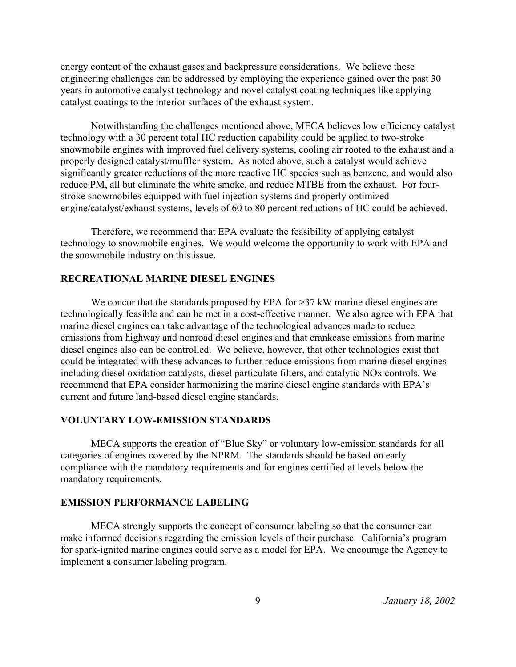energy content of the exhaust gases and backpressure considerations. We believe these engineering challenges can be addressed by employing the experience gained over the past 30 years in automotive catalyst technology and novel catalyst coating techniques like applying catalyst coatings to the interior surfaces of the exhaust system.

Notwithstanding the challenges mentioned above, MECA believes low efficiency catalyst technology with a 30 percent total HC reduction capability could be applied to two-stroke snowmobile engines with improved fuel delivery systems, cooling air rooted to the exhaust and a properly designed catalyst/muffler system. As noted above, such a catalyst would achieve significantly greater reductions of the more reactive HC species such as benzene, and would also reduce PM, all but eliminate the white smoke, and reduce MTBE from the exhaust. For fourstroke snowmobiles equipped with fuel injection systems and properly optimized engine/catalyst/exhaust systems, levels of 60 to 80 percent reductions of HC could be achieved.

Therefore, we recommend that EPA evaluate the feasibility of applying catalyst technology to snowmobile engines. We would welcome the opportunity to work with EPA and the snowmobile industry on this issue.

# **RECREATIONAL MARINE DIESEL ENGINES**

We concur that the standards proposed by EPA for >37 kW marine diesel engines are technologically feasible and can be met in a cost-effective manner. We also agree with EPA that marine diesel engines can take advantage of the technological advances made to reduce emissions from highway and nonroad diesel engines and that crankcase emissions from marine diesel engines also can be controlled. We believe, however, that other technologies exist that could be integrated with these advances to further reduce emissions from marine diesel engines including diesel oxidation catalysts, diesel particulate filters, and catalytic NOx controls. We recommend that EPA consider harmonizing the marine diesel engine standards with EPA's current and future land-based diesel engine standards.

#### **VOLUNTARY LOW-EMISSION STANDARDS**

MECA supports the creation of "Blue Sky" or voluntary low-emission standards for all categories of engines covered by the NPRM. The standards should be based on early compliance with the mandatory requirements and for engines certified at levels below the mandatory requirements.

#### **EMISSION PERFORMANCE LABELING**

MECA strongly supports the concept of consumer labeling so that the consumer can make informed decisions regarding the emission levels of their purchase. California's program for spark-ignited marine engines could serve as a model for EPA. We encourage the Agency to implement a consumer labeling program.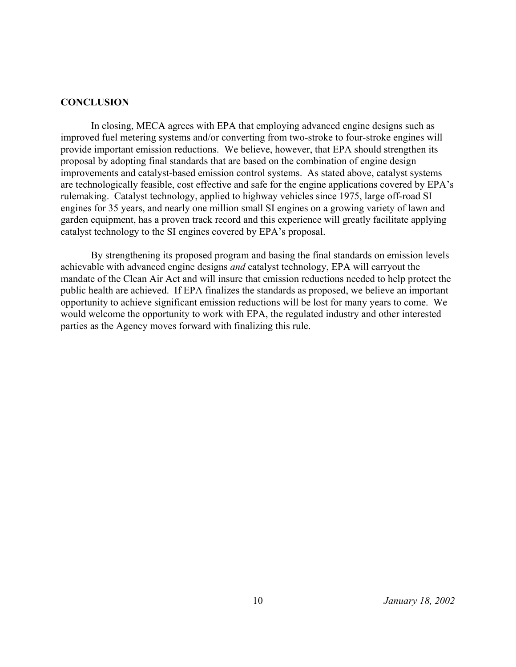### **CONCLUSION**

In closing, MECA agrees with EPA that employing advanced engine designs such as improved fuel metering systems and/or converting from two-stroke to four-stroke engines will provide important emission reductions. We believe, however, that EPA should strengthen its proposal by adopting final standards that are based on the combination of engine design improvements and catalyst-based emission control systems. As stated above, catalyst systems are technologically feasible, cost effective and safe for the engine applications covered by EPA's rulemaking. Catalyst technology, applied to highway vehicles since 1975, large off-road SI engines for 35 years, and nearly one million small SI engines on a growing variety of lawn and garden equipment, has a proven track record and this experience will greatly facilitate applying catalyst technology to the SI engines covered by EPA's proposal.

By strengthening its proposed program and basing the final standards on emission levels achievable with advanced engine designs *and* catalyst technology, EPA will carryout the mandate of the Clean Air Act and will insure that emission reductions needed to help protect the public health are achieved. If EPA finalizes the standards as proposed, we believe an important opportunity to achieve significant emission reductions will be lost for many years to come. We would welcome the opportunity to work with EPA, the regulated industry and other interested parties as the Agency moves forward with finalizing this rule.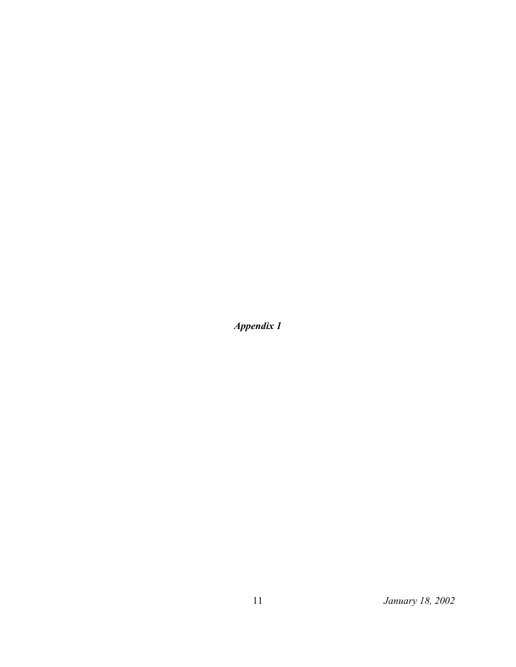*Appendix 1*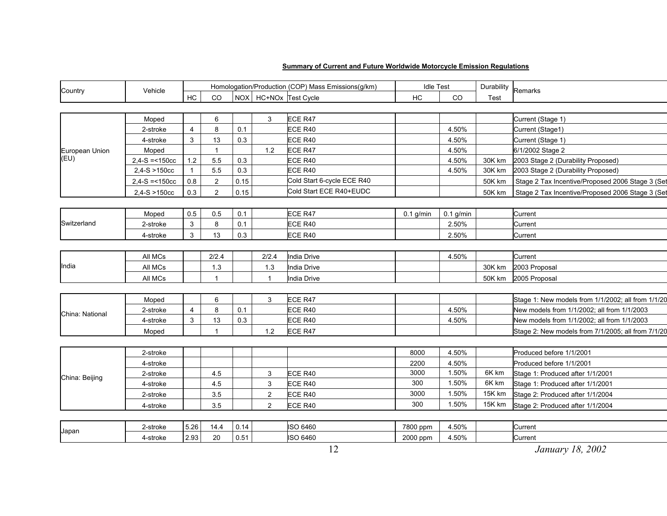#### **Summary of Current and Future Worldwide Motorcycle Emission Regulations**

| Country                | Vehicle          | Homologation/Production (COP) Mass Emissions(g/km) |                |      |                |                            | <b>Idle Test</b> |             | Durability Remarks |                                                    |
|------------------------|------------------|----------------------------------------------------|----------------|------|----------------|----------------------------|------------------|-------------|--------------------|----------------------------------------------------|
|                        |                  | HC                                                 | <b>CO</b>      |      |                | NOX   HC+NOx Test Cycle    | HC               | CO          | Test               |                                                    |
|                        |                  |                                                    |                |      |                |                            |                  |             |                    |                                                    |
| European Union<br>(EU) | Moped            |                                                    | 6              |      | 3              | ECE R47                    |                  |             |                    | Current (Stage 1)                                  |
|                        | 2-stroke         | $\overline{4}$                                     | 8              | 0.1  |                | ECE R40                    |                  | 4.50%       |                    | Current (Stage1)                                   |
|                        | 4-stroke         | 3                                                  | 13             | 0.3  |                | ECE R40                    |                  | 4.50%       |                    | Current (Stage 1)                                  |
|                        | Moped            |                                                    | $\mathbf{1}$   |      | 1.2            | ECE R47                    |                  | 4.50%       |                    | 6/1/2002 Stage 2                                   |
|                        | $2,4-S = 150cc$  | 1.2                                                | 5.5            | 0.3  |                | ECE R40                    |                  | 4.50%       | 30K km             | 2003 Stage 2 (Durability Proposed)                 |
|                        | $2,4-S > 150cc$  | $\mathbf{1}$                                       | 5.5            | 0.3  |                | ECE R40                    |                  | 4.50%       | 30K km             | 2003 Stage 2 (Durability Proposed)                 |
|                        | $2,4-S = 150$ cc | 0.8                                                | $\overline{2}$ | 0.15 |                | Cold Start 6-cycle ECE R40 |                  |             | 50K km             | Stage 2 Tax Incentive/Proposed 2006 Stage 3 (Set   |
|                        | $2,4-S > 150cc$  | 0.3                                                | $\overline{c}$ | 0.15 |                | Cold Start ECE R40+EUDC    |                  |             | 50K km             | Stage 2 Tax Incentive/Proposed 2006 Stage 3 (Set   |
|                        |                  |                                                    |                |      |                |                            |                  |             |                    |                                                    |
| Switzerland            | Moped            | 0.5                                                | 0.5            | 0.1  |                | ECE R47                    | $0.1$ g/min      | $0.1$ g/min |                    | Current                                            |
|                        | 2-stroke         | $\ensuremath{\mathsf{3}}$                          | 8              | 0.1  |                | ECE R40                    |                  | 2.50%       |                    | Current                                            |
|                        | 4-stroke         | 3                                                  | 13             | 0.3  |                | ECE R40                    |                  | 2.50%       |                    | Current                                            |
|                        |                  |                                                    |                |      |                |                            |                  |             |                    |                                                    |
| India                  | All MCs          |                                                    | 2/2.4          |      | 2/2.4          | India Drive                |                  | 4.50%       |                    | Current                                            |
|                        | All MCs          |                                                    | 1.3            |      | 1.3            | <b>India Drive</b>         |                  |             | 30K km             | 2003 Proposal                                      |
|                        | All MCs          |                                                    | $\mathbf{1}$   |      | $\mathbf 1$    | India Drive                |                  |             | 50K km             | 2005 Proposal                                      |
|                        |                  |                                                    |                |      |                |                            |                  |             |                    |                                                    |
| China: National        | Moped            |                                                    | 6              |      | 3              | ECE R47                    |                  |             |                    | Stage 1: New models from 1/1/2002; all from 1/1/20 |
|                        | 2-stroke         | $\overline{4}$                                     | 8              | 0.1  |                | ECE R40                    |                  | 4.50%       |                    | New models from 1/1/2002; all from 1/1/2003        |
|                        | 4-stroke         | $\mathsf 3$                                        | 13             | 0.3  |                | ECE R40                    |                  | 4.50%       |                    | New models from 1/1/2002; all from 1/1/2003        |
|                        | Moped            |                                                    | $\overline{1}$ |      | 1.2            | ECE R47                    |                  |             |                    | Stage 2: New models from 7/1/2005; all from 7/1/20 |
|                        |                  |                                                    |                |      |                |                            |                  |             |                    |                                                    |
| China: Beijing         | 2-stroke         |                                                    |                |      |                |                            | 8000             | 4.50%       |                    | Produced before 1/1/2001                           |
|                        | 4-stroke         |                                                    |                |      |                |                            | 2200             | 4.50%       |                    | Produced before 1/1/2001                           |
|                        | 2-stroke         |                                                    | 4.5            |      | 3              | ECE R40                    | 3000             | 1.50%       | 6K km              | Stage 1: Produced after 1/1/2001                   |
|                        | 4-stroke         |                                                    | 4.5            |      | 3              | ECE R40                    | 300              | 1.50%       | 6K km              | Stage 1: Produced after 1/1/2001                   |
|                        | 2-stroke         |                                                    | 3.5            |      | $\overline{2}$ | ECE R40                    | 3000             | 1.50%       | 15K km             | Stage 2: Produced after 1/1/2004                   |
|                        | 4-stroke         |                                                    | 3.5            |      | $\overline{2}$ | ECE R40                    | 300              | 1.50%       | 15K km             | Stage 2: Produced after 1/1/2004                   |
|                        |                  |                                                    |                |      |                |                            |                  |             |                    |                                                    |
| Japan                  | 2-stroke         | 5.26                                               | 14.4           | 0.14 |                | ISO 6460                   | 7800 ppm         | 4.50%       |                    | Current                                            |
|                        | 4-stroke         | 2.93                                               | 20             | 0.51 |                | ISO 6460                   | 2000 ppm         | 4.50%       |                    | Current                                            |
|                        |                  |                                                    |                |      |                | 12                         |                  |             |                    | January 18, 2002                                   |